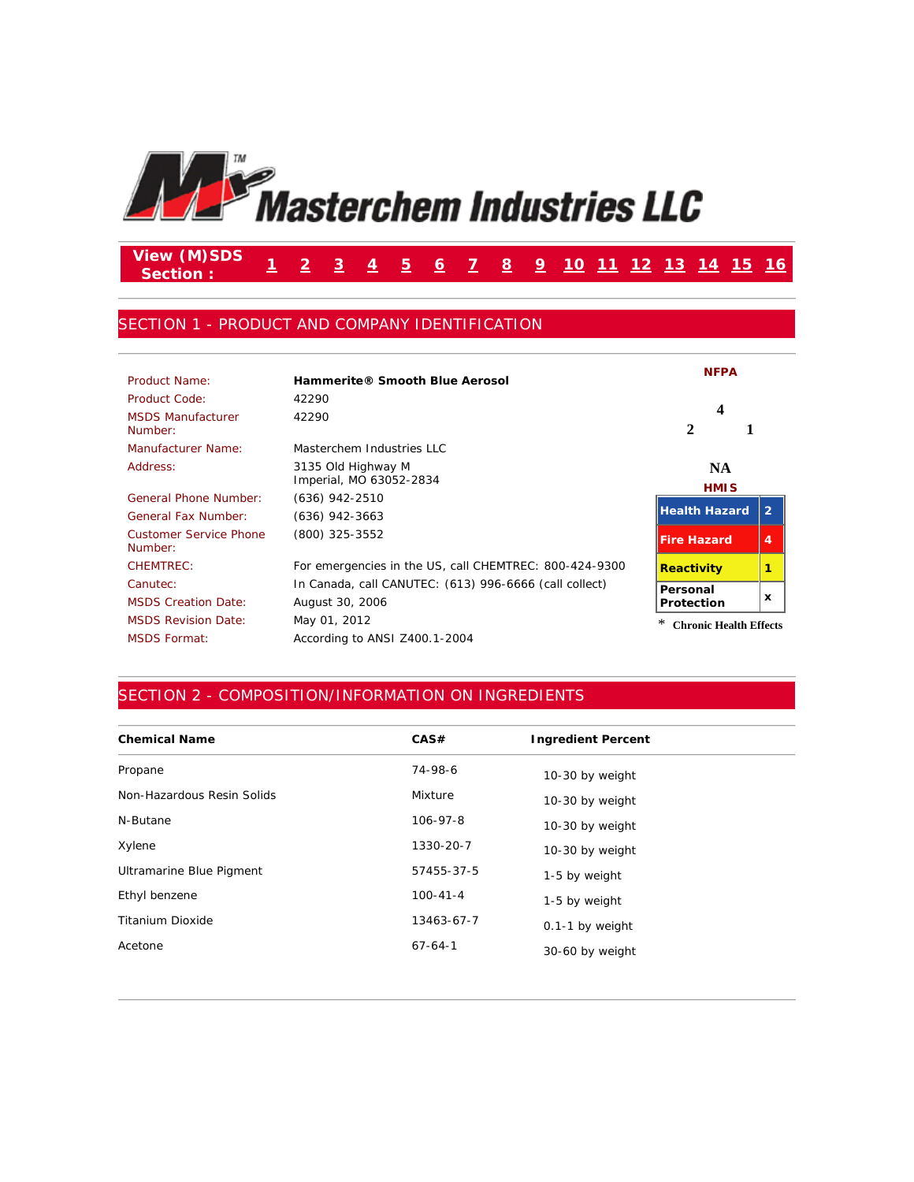

#### **View (M)SDS Section : <sup>1</sup> <sup>2</sup> <sup>3</sup> <sup>4</sup> <sup>5</sup> <sup>6</sup> <sup>7</sup> <sup>8</sup> <sup>9</sup> <sup>10</sup> <sup>11</sup> <sup>12</sup> <sup>13</sup> <sup>14</sup> <sup>15</sup> <sup>16</sup>**

#### SECTION 1 - PRODUCT AND COMPANY IDENTIFICATION

| Product Name:                            | Hammerite® Smooth Blue Aerosol                         | <b>NFPA</b>                   |                           |
|------------------------------------------|--------------------------------------------------------|-------------------------------|---------------------------|
| Product Code:                            | 42290                                                  |                               |                           |
| <b>MSDS Manufacturer</b><br>Number:      | 42290                                                  | 4<br>2                        |                           |
| Manufacturer Name:                       | Masterchem Industries LLC                              |                               |                           |
| Address:                                 | 3135 Old Highway M<br>Imperial, MO 63052-2834          | <b>NA</b><br><b>HMIS</b>      |                           |
| General Phone Number:                    | (636) 942-2510                                         |                               |                           |
| <b>General Fax Number:</b>               | (636) 942-3663                                         | <b>Health Hazard</b>          | $\overline{2}$            |
| <b>Customer Service Phone</b><br>Number: | (800) 325-3552                                         | <b>Fire Hazard</b>            | 4                         |
| CHEMTREC:                                | For emergencies in the US, call CHEMTREC: 800-424-9300 | <b>Reactivity</b>             |                           |
| Canutec:                                 | In Canada, call CANUTEC: (613) 996-6666 (call collect) | Personal                      |                           |
| <b>MSDS Creation Date:</b>               | August 30, 2006                                        | <b>Protection</b>             | $\boldsymbol{\mathsf{x}}$ |
| <b>MSDS Revision Date:</b>               | May 01, 2012                                           | <b>Chronic Health Effects</b> |                           |
| <b>MSDS Format:</b>                      | According to ANSI Z400.1-2004                          |                               |                           |

### SECTION 2 - COMPOSITION/INFORMATION ON INGREDIENTS

| <b>Chemical Name</b>       | CAS#           | <b>Ingredient Percent</b> |
|----------------------------|----------------|---------------------------|
| Propane                    | 74-98-6        | 10-30 by weight           |
| Non-Hazardous Resin Solids | Mixture        | 10-30 by weight           |
| N-Butane                   | $106 - 97 - 8$ | 10-30 by weight           |
| Xylene                     | 1330-20-7      | 10-30 by weight           |
| Ultramarine Blue Pigment   | 57455-37-5     | 1-5 by weight             |
| Ethyl benzene              | $100 - 41 - 4$ | 1-5 by weight             |
| <b>Titanium Dioxide</b>    | 13463-67-7     | 0.1-1 by weight           |
| Acetone                    | $67 - 64 - 1$  | 30-60 by weight           |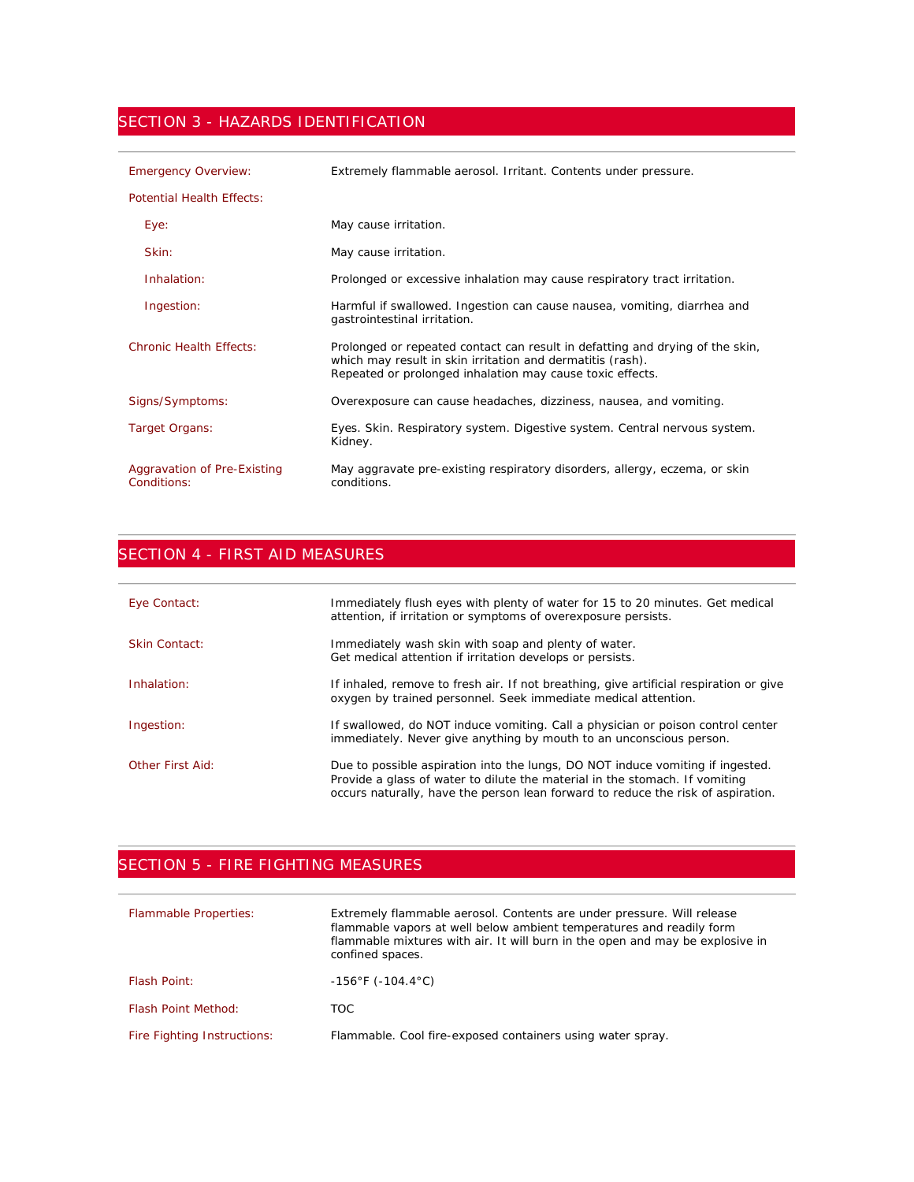### SECTION 3 - HAZARDS IDENTIFICATION

| <b>Emergency Overview:</b>                 | Extremely flammable aerosol. Irritant. Contents under pressure.                                                                                                                                          |
|--------------------------------------------|----------------------------------------------------------------------------------------------------------------------------------------------------------------------------------------------------------|
| <b>Potential Health Effects:</b>           |                                                                                                                                                                                                          |
| Eye:                                       | May cause irritation.                                                                                                                                                                                    |
| Skin:                                      | May cause irritation.                                                                                                                                                                                    |
| Inhalation:                                | Prolonged or excessive inhalation may cause respiratory tract irritation.                                                                                                                                |
| Ingestion:                                 | Harmful if swallowed. Ingestion can cause nausea, vomiting, diarrhea and<br>gastrointestinal irritation.                                                                                                 |
| <b>Chronic Health Effects:</b>             | Prolonged or repeated contact can result in defatting and drying of the skin,<br>which may result in skin irritation and dermatitis (rash).<br>Repeated or prolonged inhalation may cause toxic effects. |
| Signs/Symptoms:                            | Overexposure can cause headaches, dizziness, nausea, and vomiting.                                                                                                                                       |
| Target Organs:                             | Eyes. Skin. Respiratory system. Digestive system. Central nervous system.<br>Kidney.                                                                                                                     |
| Aggravation of Pre-Existing<br>Conditions: | May aggravate pre-existing respiratory disorders, allergy, eczema, or skin<br>conditions.                                                                                                                |

# SECTION 4 - FIRST AID MEASURES

| Eye Contact:     | Immediately flush eyes with plenty of water for 15 to 20 minutes. Get medical<br>attention, if irritation or symptoms of overexposure persists.                                                                                                   |
|------------------|---------------------------------------------------------------------------------------------------------------------------------------------------------------------------------------------------------------------------------------------------|
| Skin Contact:    | Immediately wash skin with soap and plenty of water.<br>Get medical attention if irritation develops or persists.                                                                                                                                 |
| Inhalation:      | If inhaled, remove to fresh air. If not breathing, give artificial respiration or give<br>oxygen by trained personnel. Seek immediate medical attention.                                                                                          |
| Ingestion:       | If swallowed, do NOT induce vomiting. Call a physician or poison control center<br>immediately. Never give anything by mouth to an unconscious person.                                                                                            |
| Other First Aid: | Due to possible aspiration into the lungs, DO NOT induce vomiting if ingested.<br>Provide a glass of water to dilute the material in the stomach. If vomiting<br>occurs naturally, have the person lean forward to reduce the risk of aspiration. |

## SECTION 5 - FIRE FIGHTING MEASURES

| <b>Flammable Properties:</b> | Extremely flammable aerosol. Contents are under pressure. Will release<br>flammable vapors at well below ambient temperatures and readily form<br>flammable mixtures with air. It will burn in the open and may be explosive in<br>confined spaces. |
|------------------------------|-----------------------------------------------------------------------------------------------------------------------------------------------------------------------------------------------------------------------------------------------------|
| <b>Flash Point:</b>          | $-156^{\circ}$ F (-104.4 $^{\circ}$ C)                                                                                                                                                                                                              |
| <b>Flash Point Method:</b>   | TOC.                                                                                                                                                                                                                                                |
| Fire Fighting Instructions:  | Flammable. Cool fire-exposed containers using water spray.                                                                                                                                                                                          |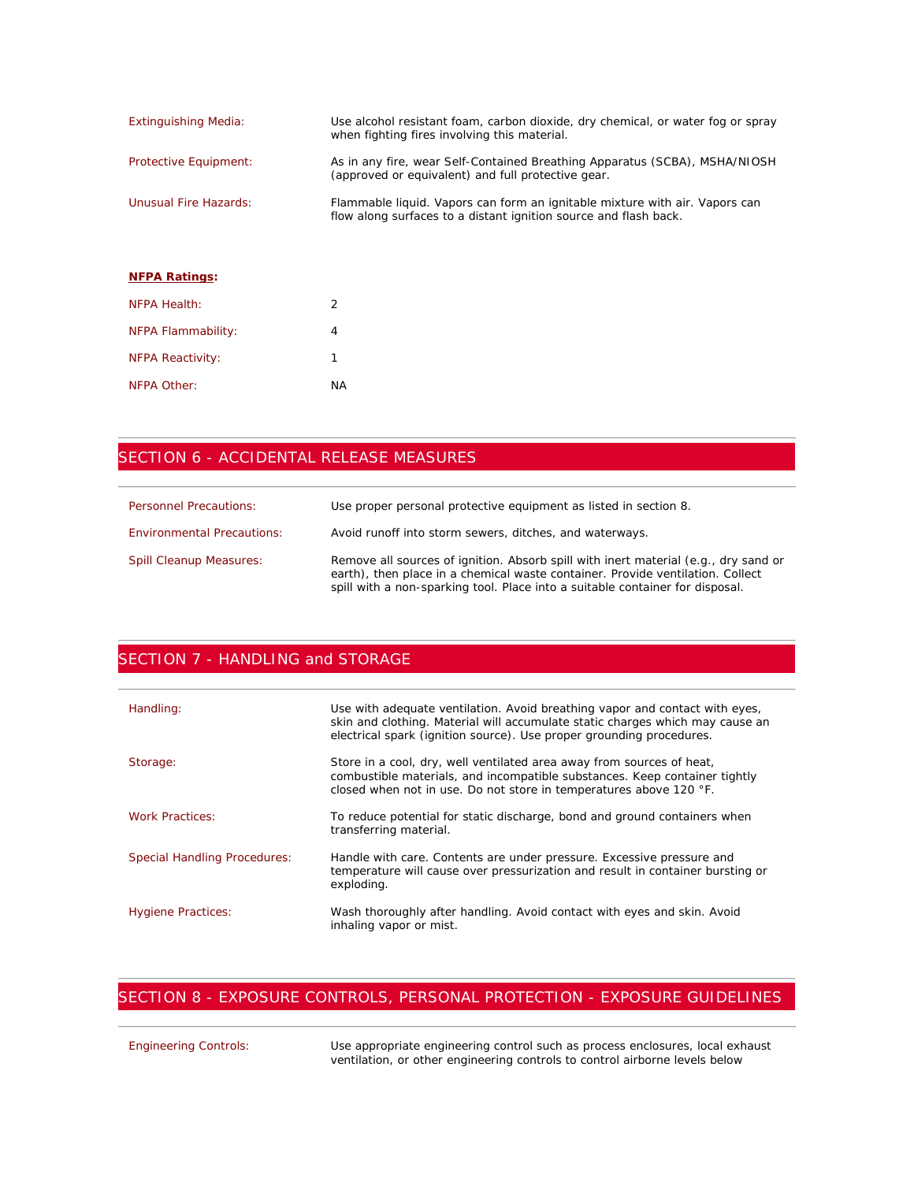| <b>Extinguishing Media:</b>  | Use alcohol resistant foam, carbon dioxide, dry chemical, or water fog or spray<br>when fighting fires involving this material.                 |
|------------------------------|-------------------------------------------------------------------------------------------------------------------------------------------------|
| Protective Equipment:        | As in any fire, wear Self-Contained Breathing Apparatus (SCBA), MSHA/NIOSH<br>(approved or equivalent) and full protective gear.                |
| <b>Unusual Fire Hazards:</b> | Flammable liquid. Vapors can form an ignitable mixture with air. Vapors can<br>flow along surfaces to a distant ignition source and flash back. |
| <b>NEPA Ratings:</b>         |                                                                                                                                                 |
| NFPA Health:                 | 2                                                                                                                                               |
| NFPA Flammability:           | 4                                                                                                                                               |
| <b>NFPA Reactivity:</b>      |                                                                                                                                                 |
| NFPA Other:                  | ΝA                                                                                                                                              |

## SECTION 6 - ACCIDENTAL RELEASE MEASURES

| <b>Personnel Precautions:</b>     | Use proper personal protective equipment as listed in section 8.                                                                                                                                                                                       |
|-----------------------------------|--------------------------------------------------------------------------------------------------------------------------------------------------------------------------------------------------------------------------------------------------------|
| <b>Environmental Precautions:</b> | Avoid runoff into storm sewers, ditches, and waterways.                                                                                                                                                                                                |
| <b>Spill Cleanup Measures:</b>    | Remove all sources of ignition. Absorb spill with inert material (e.g., dry sand or<br>earth), then place in a chemical waste container. Provide ventilation. Collect<br>spill with a non-sparking tool. Place into a suitable container for disposal. |

### SECTION 7 - HANDLING and STORAGE

| Handling:                           | Use with adequate ventilation. Avoid breathing vapor and contact with eyes,<br>skin and clothing. Material will accumulate static charges which may cause an<br>electrical spark (ignition source). Use proper grounding procedures. |
|-------------------------------------|--------------------------------------------------------------------------------------------------------------------------------------------------------------------------------------------------------------------------------------|
| Storage:                            | Store in a cool, dry, well ventilated area away from sources of heat,<br>combustible materials, and incompatible substances. Keep container tightly<br>closed when not in use. Do not store in temperatures above 120 °F.            |
| <b>Work Practices:</b>              | To reduce potential for static discharge, bond and ground containers when<br>transferring material.                                                                                                                                  |
| <b>Special Handling Procedures:</b> | Handle with care. Contents are under pressure. Excessive pressure and<br>temperature will cause over pressurization and result in container bursting or<br>exploding.                                                                |
| <b>Hygiene Practices:</b>           | Wash thoroughly after handling. Avoid contact with eyes and skin. Avoid<br>inhaling vapor or mist.                                                                                                                                   |

## SECTION 8 - EXPOSURE CONTROLS, PERSONAL PROTECTION - EXPOSURE GUIDELINES

| <b>Engineering Controls:</b> | Use appropriate engineering control such as process enclosures, local exhaust |
|------------------------------|-------------------------------------------------------------------------------|
|                              | ventilation, or other engineering controls to control airborne levels below   |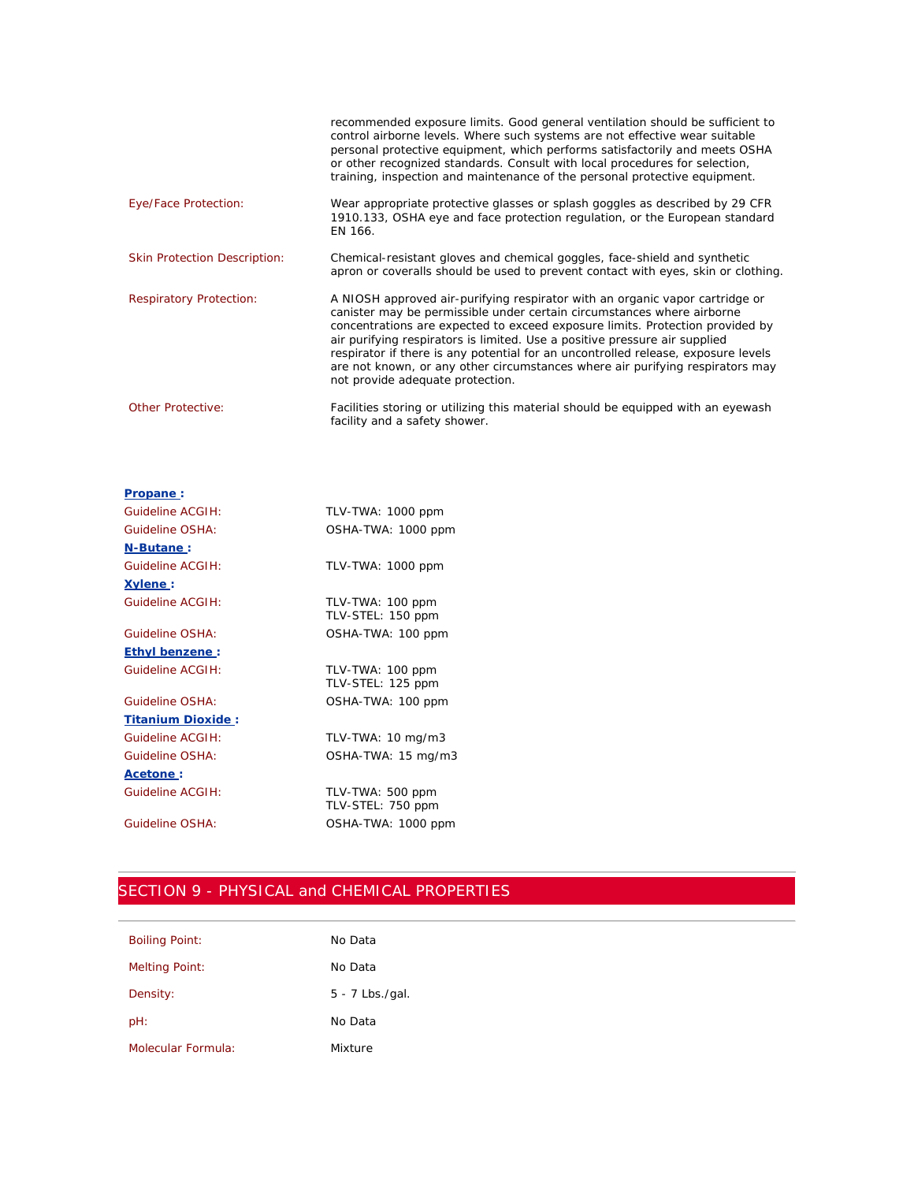|                                     | recommended exposure limits. Good general ventilation should be sufficient to<br>control airborne levels. Where such systems are not effective wear suitable<br>personal protective equipment, which performs satisfactorily and meets OSHA<br>or other recognized standards. Consult with local procedures for selection,<br>training, inspection and maintenance of the personal protective equipment.                                                                                                                        |
|-------------------------------------|---------------------------------------------------------------------------------------------------------------------------------------------------------------------------------------------------------------------------------------------------------------------------------------------------------------------------------------------------------------------------------------------------------------------------------------------------------------------------------------------------------------------------------|
| Eye/Face Protection:                | Wear appropriate protective glasses or splash goggles as described by 29 CFR<br>1910.133, OSHA eye and face protection regulation, or the European standard<br>EN 166.                                                                                                                                                                                                                                                                                                                                                          |
| <b>Skin Protection Description:</b> | Chemical-resistant gloves and chemical goggles, face-shield and synthetic<br>apron or coveralls should be used to prevent contact with eyes, skin or clothing.                                                                                                                                                                                                                                                                                                                                                                  |
| <b>Respiratory Protection:</b>      | A NIOSH approved air-purifying respirator with an organic vapor cartridge or<br>canister may be permissible under certain circumstances where airborne<br>concentrations are expected to exceed exposure limits. Protection provided by<br>air purifying respirators is limited. Use a positive pressure air supplied<br>respirator if there is any potential for an uncontrolled release, exposure levels<br>are not known, or any other circumstances where air purifying respirators may<br>not provide adequate protection. |
| <b>Other Protective:</b>            | Facilities storing or utilizing this material should be equipped with an eyewash<br>facility and a safety shower.                                                                                                                                                                                                                                                                                                                                                                                                               |

| Propane:              |                                       |
|-----------------------|---------------------------------------|
| Guideline ACGIH:      | TLV-TWA: 1000 ppm                     |
| Guideline OSHA:       | OSHA-TWA: 1000 ppm                    |
| N-Butane:             |                                       |
| Guideline ACGIH:      | TLV-TWA: 1000 ppm                     |
| Xylene:               |                                       |
| Guideline ACGIH:      | TLV-TWA: 100 ppm<br>TLV-STEL: 150 ppm |
| Guideline OSHA:       | OSHA-TWA: 100 ppm                     |
| <b>Ethyl benzene:</b> |                                       |
| Guideline ACGIH:      | TLV-TWA: 100 ppm<br>TLV-STEL: 125 ppm |
| Guideline OSHA:       | OSHA-TWA: 100 ppm                     |
| Titanium Dioxide:     |                                       |
| Guideline ACGIH:      | TLV-TWA: $10 \text{ mg/m}$ 3          |
| Guideline OSHA:       | OSHA-TWA: 15 mg/m3                    |
| <u>  Acetone</u>      |                                       |
| Guideline ACGIH:      | TLV-TWA: 500 ppm<br>TLV-STEL: 750 ppm |
| Guideline OSHA:       | OSHA-TWA: 1000 ppm                    |

# SECTION 9 - PHYSICAL and CHEMICAL PROPERTIES

| <b>Boiling Point:</b> | No Data           |
|-----------------------|-------------------|
| <b>Melting Point:</b> | No Data           |
| Density:              | $5 - 7$ Lbs./gal. |
| pH:                   | No Data           |
| Molecular Formula:    | Mixture           |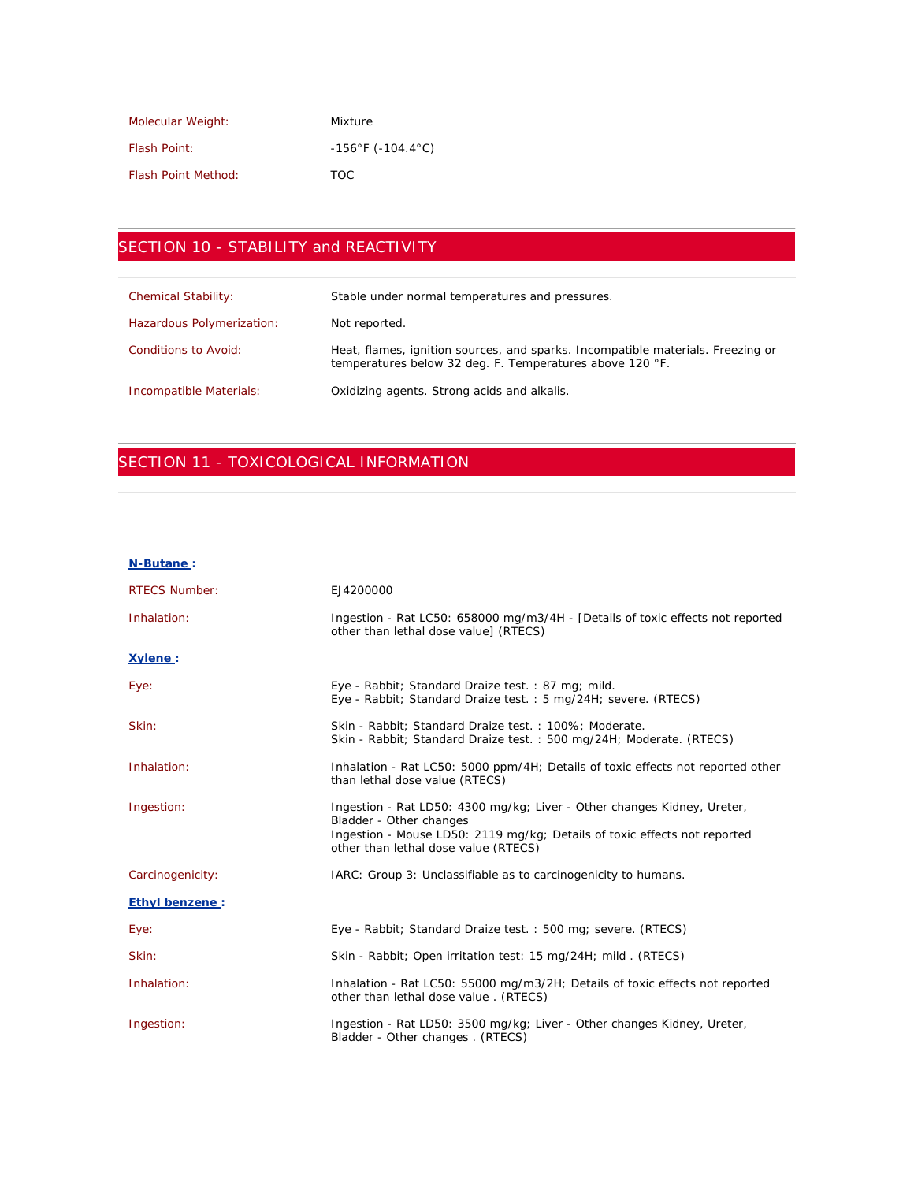| Molecular Weight:          | Mixture                                |
|----------------------------|----------------------------------------|
| <b>Flash Point:</b>        | $-156^{\circ}$ F (-104.4 $^{\circ}$ C) |
| <b>Flash Point Method:</b> | TOC.                                   |

# SECTION 10 - STABILITY and REACTIVITY

| <b>Chemical Stability:</b> | Stable under normal temperatures and pressures.                                                                                             |
|----------------------------|---------------------------------------------------------------------------------------------------------------------------------------------|
| Hazardous Polymerization:  | Not reported.                                                                                                                               |
| Conditions to Avoid:       | Heat, flames, ignition sources, and sparks. Incompatible materials. Freezing or<br>temperatures below 32 deg. F. Temperatures above 120 °F. |
| Incompatible Materials:    | Oxidizing agents. Strong acids and alkalis.                                                                                                 |

## SECTION 11 - TOXICOLOGICAL INFORMATION

#### **N-Butane :**

| <b>RTECS Number:</b>  | EJ4200000                                                                                                                                                                                                               |
|-----------------------|-------------------------------------------------------------------------------------------------------------------------------------------------------------------------------------------------------------------------|
| Inhalation:           | Ingestion - Rat LC50: 658000 mg/m3/4H - [Details of toxic effects not reported<br>other than lethal dose value] (RTECS)                                                                                                 |
| Xvlene:               |                                                                                                                                                                                                                         |
| Eye:                  | Eye - Rabbit; Standard Draize test.: 87 mg; mild.<br>Eye - Rabbit; Standard Draize test.: 5 mg/24H; severe. (RTECS)                                                                                                     |
| Skin:                 | Skin - Rabbit; Standard Draize test.: 100%; Moderate.<br>Skin - Rabbit; Standard Draize test. : 500 mg/24H; Moderate. (RTECS)                                                                                           |
| Inhalation:           | Inhalation - Rat LC50: 5000 ppm/4H; Details of toxic effects not reported other<br>than lethal dose value (RTECS)                                                                                                       |
| Ingestion:            | Ingestion - Rat LD50: 4300 mg/kg; Liver - Other changes Kidney, Ureter,<br>Bladder - Other changes<br>Ingestion - Mouse LD50: 2119 mg/kg; Details of toxic effects not reported<br>other than lethal dose value (RTECS) |
| Carcinogenicity:      | IARC: Group 3: Unclassifiable as to carcinogenicity to humans.                                                                                                                                                          |
| <b>Ethyl benzene:</b> |                                                                                                                                                                                                                         |
| Eye:                  | Eye - Rabbit; Standard Draize test.: 500 mg; severe. (RTECS)                                                                                                                                                            |
| Skin:                 | Skin - Rabbit; Open irritation test: 15 mg/24H; mild. (RTECS)                                                                                                                                                           |
| Inhalation:           | Inhalation - Rat LC50: 55000 mg/m3/2H; Details of toxic effects not reported<br>other than lethal dose value. (RTECS)                                                                                                   |
| Ingestion:            | Ingestion - Rat LD50: 3500 mg/kg; Liver - Other changes Kidney, Ureter,<br>Bladder - Other changes . (RTECS)                                                                                                            |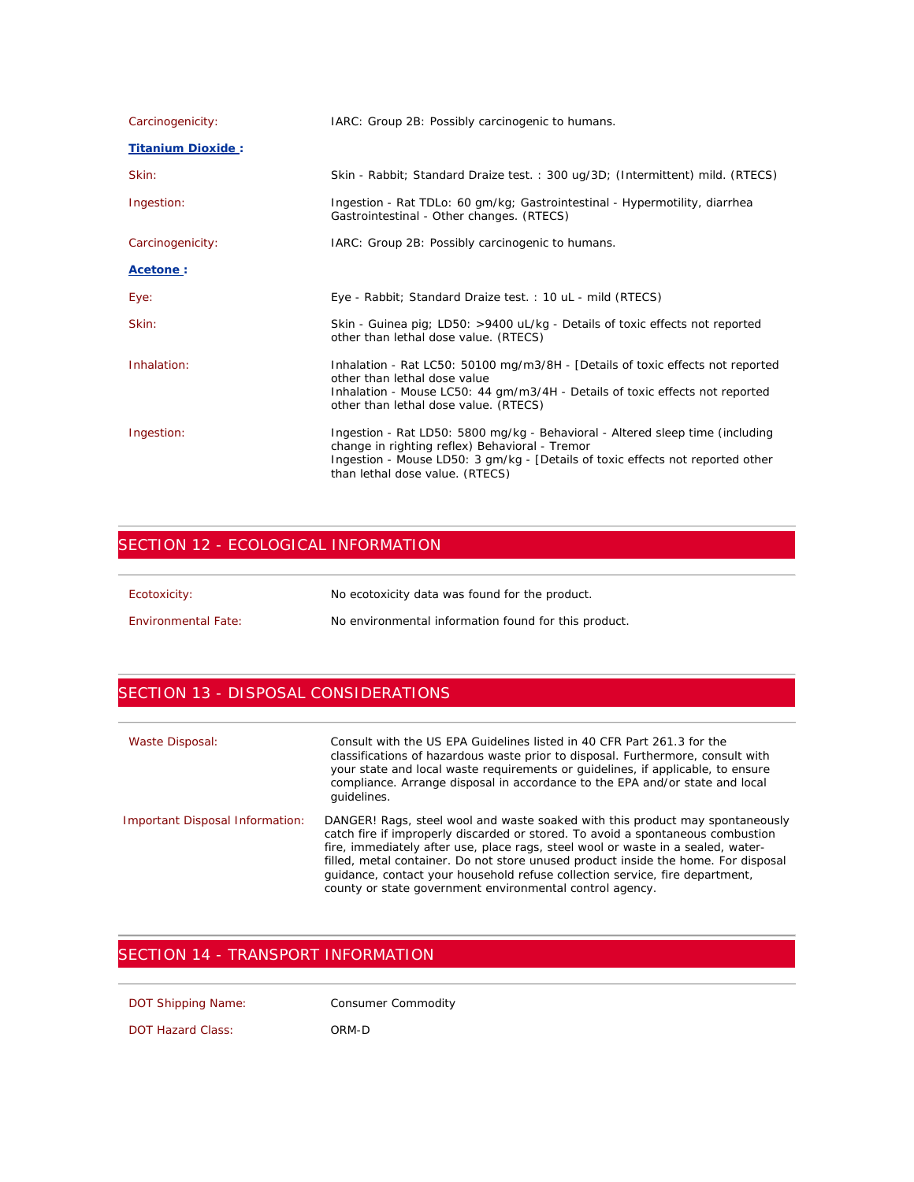| Carcinogenicity:         | IARC: Group 2B: Possibly carcinogenic to humans.                                                                                                                                                                                                     |
|--------------------------|------------------------------------------------------------------------------------------------------------------------------------------------------------------------------------------------------------------------------------------------------|
| <b>Titanium Dioxide:</b> |                                                                                                                                                                                                                                                      |
| Skin:                    | Skin - Rabbit; Standard Draize test. : 300 ug/3D; (Intermittent) mild. (RTECS)                                                                                                                                                                       |
| Ingestion:               | Ingestion - Rat TDLo: 60 gm/kg; Gastrointestinal - Hypermotility, diarrhea<br>Gastrointestinal - Other changes. (RTECS)                                                                                                                              |
| Carcinogenicity:         | IARC: Group 2B: Possibly carcinogenic to humans.                                                                                                                                                                                                     |
| Acetone:                 |                                                                                                                                                                                                                                                      |
| Eye:                     | Eye - Rabbit; Standard Draize test.: 10 uL - mild (RTECS)                                                                                                                                                                                            |
| Skin:                    | Skin - Guinea pig; LD50: >9400 uL/kg - Details of toxic effects not reported<br>other than lethal dose value. (RTECS)                                                                                                                                |
| Inhalation:              | Inhalation - Rat LC50: 50100 mg/m3/8H - [Details of toxic effects not reported<br>other than lethal dose value<br>Inhalation - Mouse LC50: 44 gm/m3/4H - Details of toxic effects not reported<br>other than lethal dose value. (RTECS)              |
| Ingestion:               | Ingestion - Rat LD50: 5800 mg/kg - Behavioral - Altered sleep time (including<br>change in righting reflex) Behavioral - Tremor<br>Ingestion - Mouse LD50: 3 gm/kg - [Details of toxic effects not reported other<br>than lethal dose value. (RTECS) |

## SECTION 12 - ECOLOGICAL INFORMATION

| Ecotoxicity:               | No ecotoxicity data was found for the product.       |
|----------------------------|------------------------------------------------------|
| <b>Environmental Fate:</b> | No environmental information found for this product. |

## SECTION 13 - DISPOSAL CONSIDERATIONS

| Waste Disposal:                 | Consult with the US EPA Guidelines listed in 40 CFR Part 261.3 for the<br>classifications of hazardous waste prior to disposal. Furthermore, consult with<br>your state and local waste requirements or quidelines, if applicable, to ensure<br>compliance. Arrange disposal in accordance to the EPA and/or state and local<br>quidelines.                                                                                                                                            |
|---------------------------------|----------------------------------------------------------------------------------------------------------------------------------------------------------------------------------------------------------------------------------------------------------------------------------------------------------------------------------------------------------------------------------------------------------------------------------------------------------------------------------------|
| Important Disposal Information: | DANGER! Rags, steel wool and waste soaked with this product may spontaneously<br>catch fire if improperly discarded or stored. To avoid a spontaneous combustion<br>fire, immediately after use, place rags, steel wool or waste in a sealed, water-<br>filled, metal container. Do not store unused product inside the home. For disposal<br>quidance, contact your household refuse collection service, fire department,<br>county or state government environmental control agency. |

## SECTION 14 - TRANSPORT INFORMATION

DOT Shipping Name: Consumer Commodity

DOT Hazard Class: ORM-D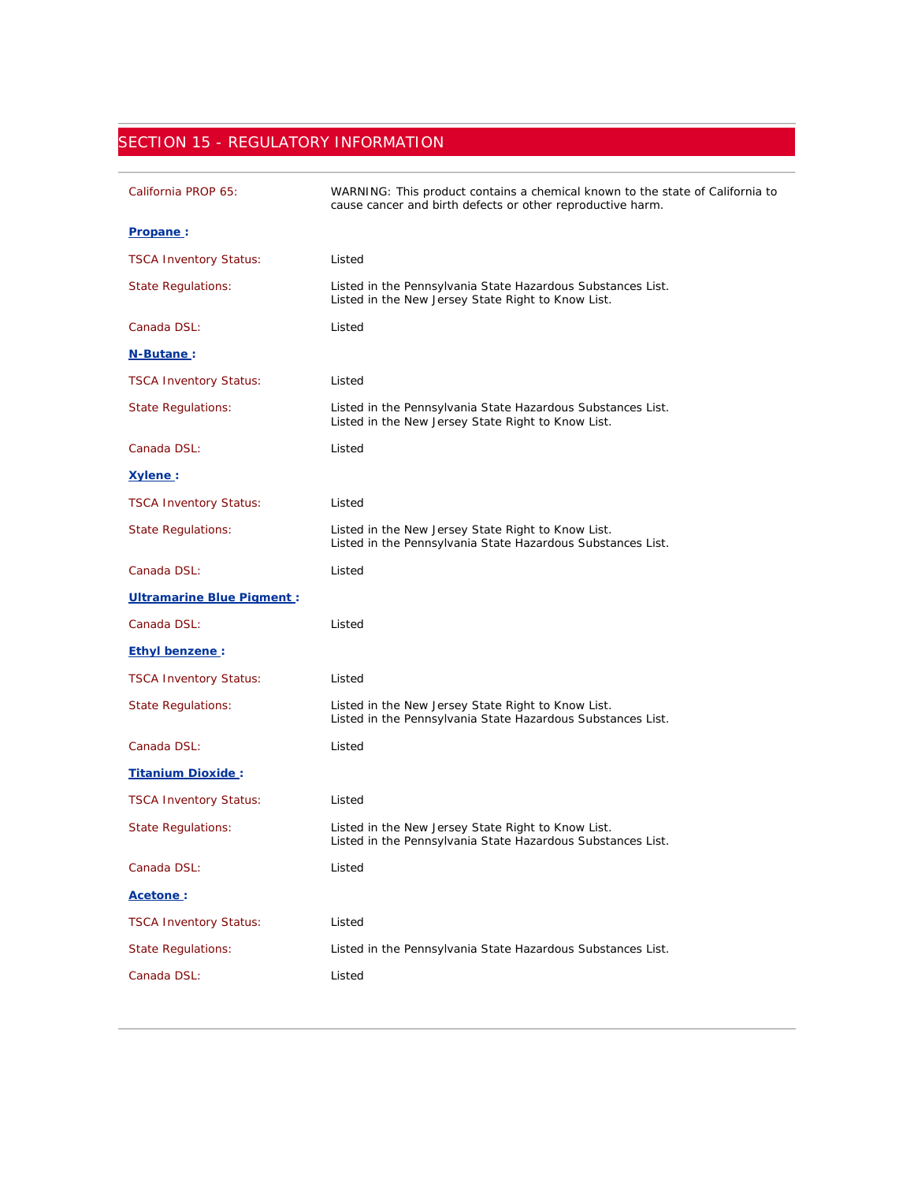## SECTION 15 - REGULATORY INFORMATION

| California PROP 65:              | WARNING: This product contains a chemical known to the state of California to<br>cause cancer and birth defects or other reproductive harm. |
|----------------------------------|---------------------------------------------------------------------------------------------------------------------------------------------|
| <u>Propane</u> :                 |                                                                                                                                             |
| <b>TSCA Inventory Status:</b>    | Listed                                                                                                                                      |
| <b>State Regulations:</b>        | Listed in the Pennsylvania State Hazardous Substances List.<br>Listed in the New Jersey State Right to Know List.                           |
| Canada DSL:                      | Listed                                                                                                                                      |
| N-Butane:                        |                                                                                                                                             |
| <b>TSCA Inventory Status:</b>    | Listed                                                                                                                                      |
| <b>State Regulations:</b>        | Listed in the Pennsylvania State Hazardous Substances List.<br>Listed in the New Jersey State Right to Know List.                           |
| Canada DSL:                      | Listed                                                                                                                                      |
| <u>Xylene</u> :                  |                                                                                                                                             |
| <b>TSCA Inventory Status:</b>    | Listed                                                                                                                                      |
| <b>State Regulations:</b>        | Listed in the New Jersey State Right to Know List.<br>Listed in the Pennsylvania State Hazardous Substances List.                           |
| Canada DSL:                      | Listed                                                                                                                                      |
| <b>Ultramarine Blue Pigment:</b> |                                                                                                                                             |
| Canada DSL:                      | Listed                                                                                                                                      |
| <b>Ethyl benzene:</b>            |                                                                                                                                             |
| <b>TSCA Inventory Status:</b>    | Listed                                                                                                                                      |
| <b>State Regulations:</b>        | Listed in the New Jersey State Right to Know List.<br>Listed in the Pennsylvania State Hazardous Substances List.                           |
| Canada DSL:                      | Listed                                                                                                                                      |
| <b>Titanium Dioxide:</b>         |                                                                                                                                             |
| <b>TSCA Inventory Status:</b>    | Listed                                                                                                                                      |
| <b>State Regulations:</b>        | Listed in the New Jersey State Right to Know List.<br>Listed in the Pennsylvania State Hazardous Substances List.                           |
| Canada DSL:                      | Listed                                                                                                                                      |
| Acetone:                         |                                                                                                                                             |
| <b>TSCA Inventory Status:</b>    | Listed                                                                                                                                      |
| <b>State Regulations:</b>        | Listed in the Pennsylvania State Hazardous Substances List.                                                                                 |
| Canada DSL:                      | Listed                                                                                                                                      |